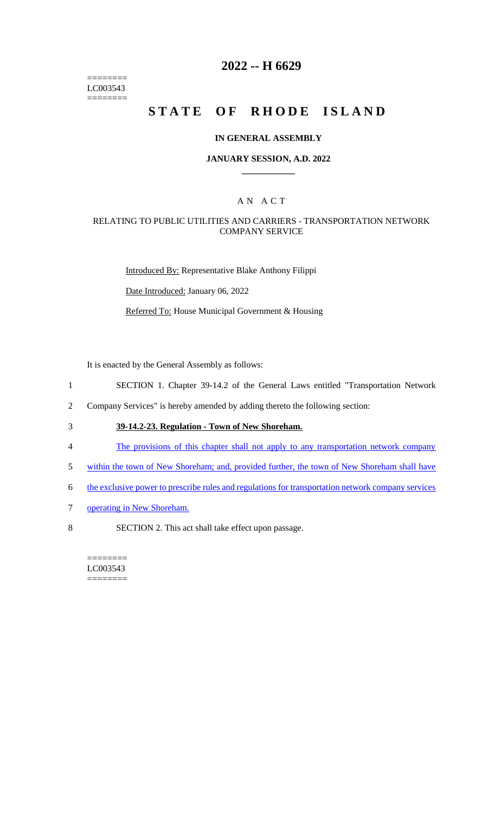======== LC003543 ========

# **2022 -- H 6629**

# **STATE OF RHODE ISLAND**

#### **IN GENERAL ASSEMBLY**

#### **JANUARY SESSION, A.D. 2022 \_\_\_\_\_\_\_\_\_\_\_\_**

#### A N A C T

#### RELATING TO PUBLIC UTILITIES AND CARRIERS - TRANSPORTATION NETWORK COMPANY SERVICE

Introduced By: Representative Blake Anthony Filippi

Date Introduced: January 06, 2022

Referred To: House Municipal Government & Housing

It is enacted by the General Assembly as follows:

- 1 SECTION 1. Chapter 39-14.2 of the General Laws entitled "Transportation Network
- 2 Company Services" is hereby amended by adding thereto the following section:
- 3 **39-14.2-23. Regulation - Town of New Shoreham.**
- 4 The provisions of this chapter shall not apply to any transportation network company
- 5 within the town of New Shoreham; and, provided further, the town of New Shoreham shall have
- 6 the exclusive power to prescribe rules and regulations for transportation network company services
- 7 operating in New Shoreham.
- 8 SECTION 2. This act shall take effect upon passage.

======== LC003543 ========